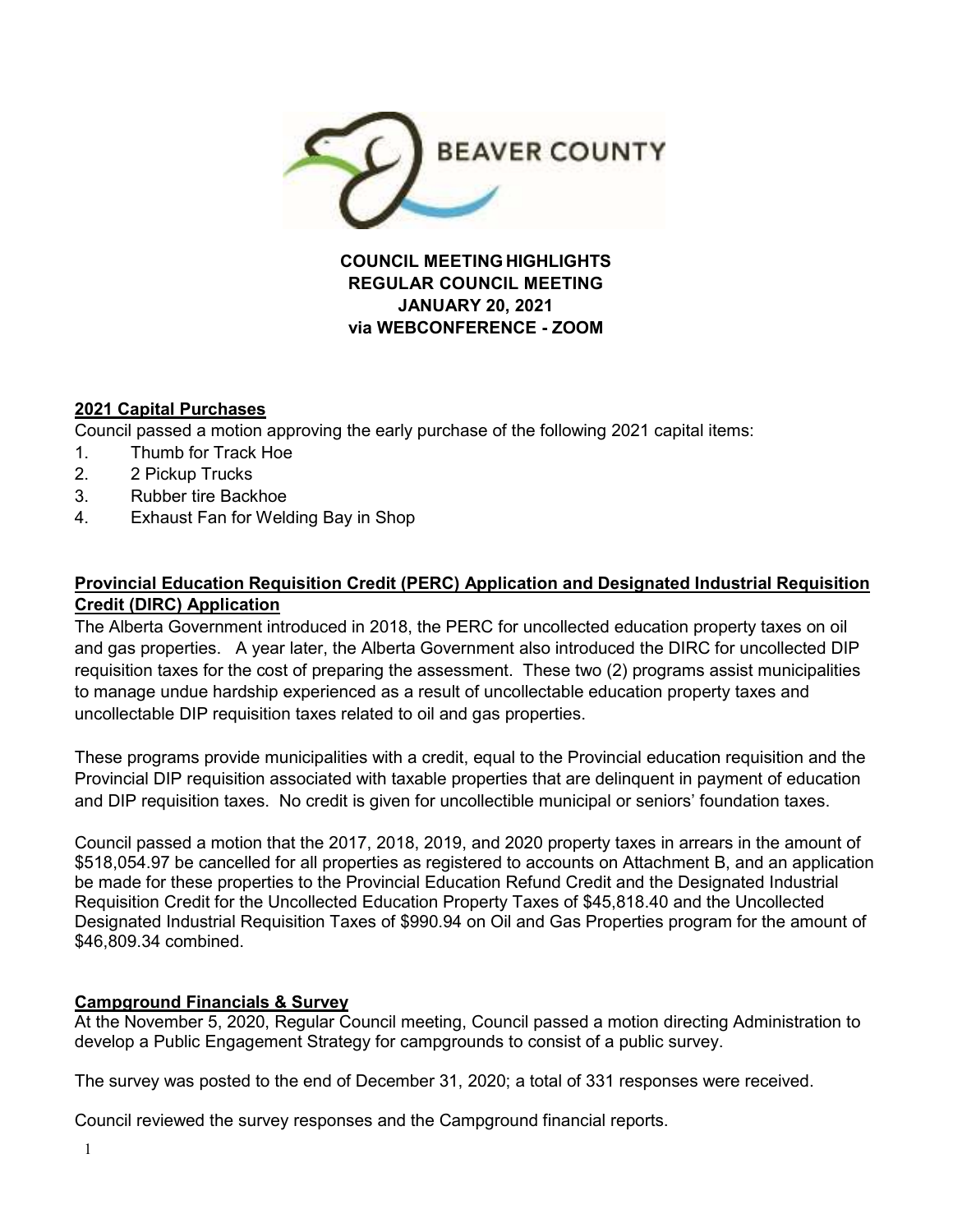

**COUNCIL MEETING HIGHLIGHTS REGULAR COUNCIL MEETING JANUARY 20, 2021 via WEBCONFERENCE - ZOOM** 

# **2021 Capital Purchases**

Council passed a motion approving the early purchase of the following 2021 capital items:

- 1. Thumb for Track Hoe
- 2. 2 Pickup Trucks
- 3. Rubber tire Backhoe
- 4. Exhaust Fan for Welding Bay in Shop

# **Provincial Education Requisition Credit (PERC) Application and Designated Industrial Requisition Credit (DIRC) Application**

The Alberta Government introduced in 2018, the PERC for uncollected education property taxes on oil and gas properties. A year later, the Alberta Government also introduced the DIRC for uncollected DIP requisition taxes for the cost of preparing the assessment. These two (2) programs assist municipalities to manage undue hardship experienced as a result of uncollectable education property taxes and uncollectable DIP requisition taxes related to oil and gas properties.

These programs provide municipalities with a credit, equal to the Provincial education requisition and the Provincial DIP requisition associated with taxable properties that are delinquent in payment of education and DIP requisition taxes. No credit is given for uncollectible municipal or seniors' foundation taxes.

Council passed a motion that the 2017, 2018, 2019, and 2020 property taxes in arrears in the amount of \$518,054.97 be cancelled for all properties as registered to accounts on Attachment B, and an application be made for these properties to the Provincial Education Refund Credit and the Designated Industrial Requisition Credit for the Uncollected Education Property Taxes of \$45,818.40 and the Uncollected Designated Industrial Requisition Taxes of \$990.94 on Oil and Gas Properties program for the amount of \$46,809.34 combined.

## **Campground Financials & Survey**

At the November 5, 2020, Regular Council meeting, Council passed a motion directing Administration to develop a Public Engagement Strategy for campgrounds to consist of a public survey.

The survey was posted to the end of December 31, 2020; a total of 331 responses were received.

Council reviewed the survey responses and the Campground financial reports.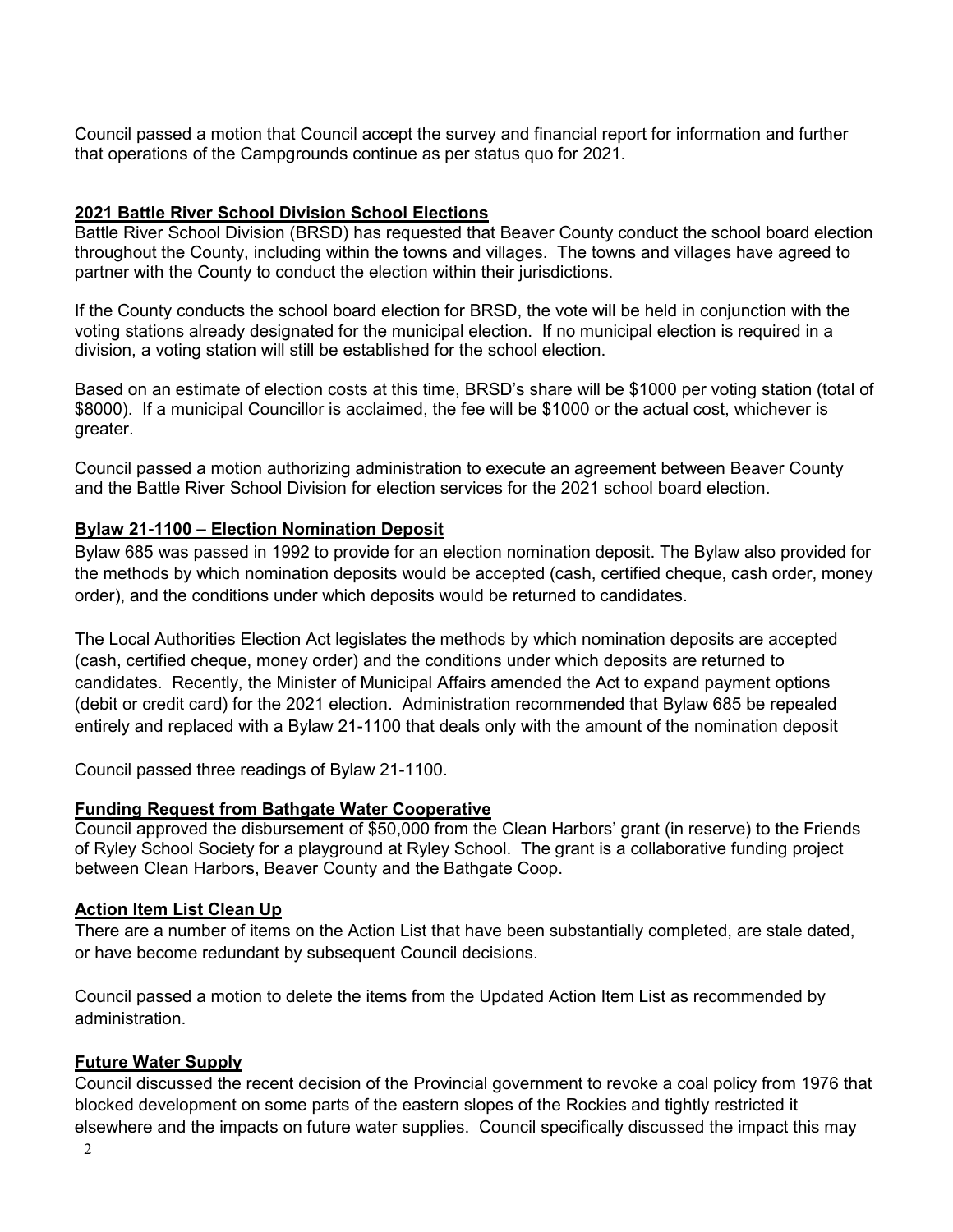Council passed a motion that Council accept the survey and financial report for information and further that operations of the Campgrounds continue as per status quo for 2021.

## **2021 Battle River School Division School Elections**

Battle River School Division (BRSD) has requested that Beaver County conduct the school board election throughout the County, including within the towns and villages. The towns and villages have agreed to partner with the County to conduct the election within their jurisdictions.

If the County conducts the school board election for BRSD, the vote will be held in conjunction with the voting stations already designated for the municipal election. If no municipal election is required in a division, a voting station will still be established for the school election.

Based on an estimate of election costs at this time, BRSD's share will be \$1000 per voting station (total of \$8000). If a municipal Councillor is acclaimed, the fee will be \$1000 or the actual cost, whichever is greater.

Council passed a motion authorizing administration to execute an agreement between Beaver County and the Battle River School Division for election services for the 2021 school board election.

## **Bylaw 21-1100 – Election Nomination Deposit**

Bylaw 685 was passed in 1992 to provide for an election nomination deposit. The Bylaw also provided for the methods by which nomination deposits would be accepted (cash, certified cheque, cash order, money order), and the conditions under which deposits would be returned to candidates.

The Local Authorities Election Act legislates the methods by which nomination deposits are accepted (cash, certified cheque, money order) and the conditions under which deposits are returned to candidates. Recently, the Minister of Municipal Affairs amended the Act to expand payment options (debit or credit card) for the 2021 election. Administration recommended that Bylaw 685 be repealed entirely and replaced with a Bylaw 21-1100 that deals only with the amount of the nomination deposit

Council passed three readings of Bylaw 21-1100.

## **Funding Request from Bathgate Water Cooperative**

Council approved the disbursement of \$50,000 from the Clean Harbors' grant (in reserve) to the Friends of Ryley School Society for a playground at Ryley School. The grant is a collaborative funding project between Clean Harbors, Beaver County and the Bathgate Coop.

#### **Action Item List Clean Up**

There are a number of items on the Action List that have been substantially completed, are stale dated, or have become redundant by subsequent Council decisions.

Council passed a motion to delete the items from the Updated Action Item List as recommended by administration.

#### **Future Water Supply**

Council discussed the recent decision of the Provincial government to revoke a coal policy from 1976 that blocked development on some parts of the eastern slopes of the Rockies and tightly restricted it elsewhere and the impacts on future water supplies. Council specifically discussed the impact this may